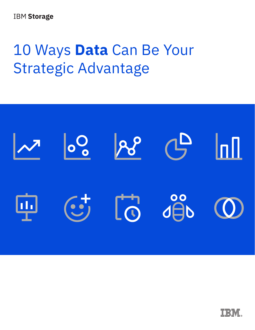# 10 Ways **Data** Can Be Your Strategic Advantage



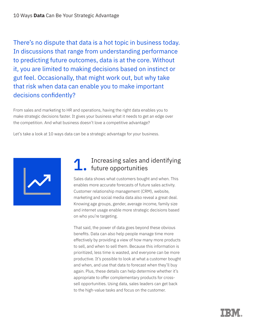There's no dispute that data is a hot topic in business today. In discussions that range from understanding performance to predicting future outcomes, data is at the core. Without it, you are limited to making decisions based on instinct or gut feel. Occasionally, that might work out, but why take that risk when data can enable you to make important decisions confidently?

From sales and marketing to HR and operations, having the right data enables you to make strategic decisions faster. It gives your business what it needs to get an edge over the competition. And what business doesn't love a competitive advantage?

Let's take a look at 10 ways data can be a strategic advantage for your business.



#### Increasing sales and identifying future opportunities 1.

Sales data shows what customers bought and when. This enables more accurate forecasts of future sales activity. Customer relationship management (CRM), website, marketing and social media data also reveal a great deal. Knowing age groups, gender, average income, family size and internet usage enable more strategic decisions based on who you're targeting.

That said, the power of data goes beyond these obvious benefits. Data can also help people manage time more effectively by providing a view of how many more products to sell, and when to sell them. Because this information is prioritized, less time is wasted, and everyone can be more productive. It's possible to look at what a customer bought and when, and use that data to forecast when they'll buy again. Plus, these details can help determine whether it's appropriate to offer complementary products for crosssell opportunities. Using data, sales leaders can get back to the high-value tasks and focus on the customer.

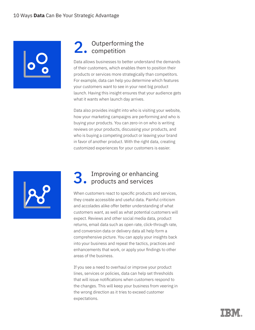

## Outperforming the 2. Outperformi

Data allows businesses to better understand the demands of their customers, which enables them to position their products or services more strategically than competitors. For example, data can help you determine which features your customers want to see in your next big product launch. Having this insight ensures that your audience gets what it wants when launch day arrives.

Data also provides insight into who is visiting your website, how your marketing campaigns are performing and who is buying your products. You can zero-in on who is writing reviews on your products, discussing your products, and who is buying a competing product or leaving your brand in favor of another product. With the right data, creating customized experiences for your customers is easier.



#### Improving or enhancing products and services 3.

When customers react to specific products and services, they create accessible and useful data. Painful criticism and accolades alike offer better understanding of what customers want, as well as what potential customers will expect. Reviews and other social media data, product returns, email data such as open rate, click-through rate, and conversion data or delivery data all help form a comprehensive picture. You can apply your insights back into your business and repeat the tactics, practices and enhancements that work, or apply your findings to other areas of the business.

If you see a need to overhaul or improve your product lines, services or policies, data can help set thresholds that will issue notifications when customers respond to the changes. This will keep your business from veering in the wrong direction as it tries to exceed customer expectations.

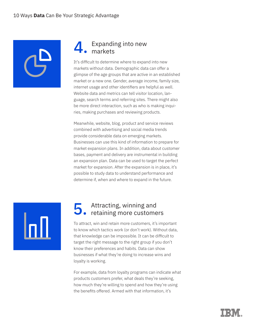

#### Expanding into new markets 4.

It's difficult to determine where to expand into new markets without data. Demographic data can offer a glimpse of the age groups that are active in an established market or a new one. Gender, average income, family size, internet usage and other identifiers are helpful as well. Website data and metrics can tell visitor location, language, search terms and referring sites. There might also be more direct interaction, such as who is making inquiries, making purchases and reviewing products.

Meanwhile, website, blog, product and service reviews combined with advertising and social media trends provide considerable data on emerging markets. Businesses can use this kind of information to prepare for market expansion plans. In addition, data about customer bases, payment and delivery are instrumental in building an expansion plan. Data can be used to target the perfect market for expansion. After the expansion is in place, it's possible to study data to understand performance and determine if, when and where to expand in the future.



## Attracting, winning and 5. Attracting, winning and<br>5. retaining more customers

To attract, win and retain more customers, it's important to know which tactics work (or don't work). Without data, that knowledge can be impossible. It can be difficult to target the right message to the right group if you don't know their preferences and habits. Data can show businesses if what they're doing to increase wins and loyalty is working.

For example, data from loyalty programs can indicate what products customers prefer, what deals they're seeking, how much they're willing to spend and how they're using the benefits offered. Armed with that information, it's

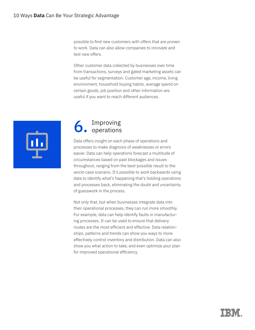possible to find new customers with offers that are proven to work. Data can also allow companies to innovate and test new offers.

Other customer data collected by businesses over time from transactions, surveys and gated marketing assets can be useful for segmentation. Customer age, income, living environment, household buying habits, average spend on certain goods, job position and other information are useful if you want to reach different audiences.



## Improving 6. Improving

Data offers insight on each phase of operations and processes to make diagnosis of weaknesses or errors easier. Data can help operations forecast a multitude of circumstances based on past blockages and issues throughout, ranging from the best-possible result to the worst-case scenario. It's possible to work backwards using data to identify what's happening that's holding operations and processes back, eliminating the doubt and uncertainty of guesswork in the process.

Not only that, but when businesses integrate data into their operational processes, they can run more smoothly. For example, data can help identify faults in manufacturing processes. It can be used to ensure that delivery routes are the most efficient and effective. Data relationships, patterns and trends can show you ways to more effectively control inventory and distribution. Data can also show you what action to take, and even optimize your plan for improved operational efficiency.

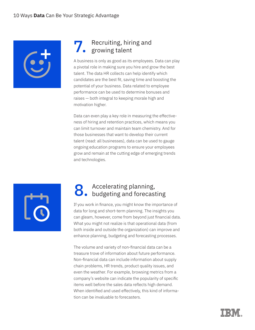

#### Recruiting, hiring and growing talent 7.

A business is only as good as its employees. Data can play a pivotal role in making sure you hire and grow the best talent. The data HR collects can help identify which candidates are the best fit, saving time and boosting the potential of your business. Data related to employee performance can be used to determine bonuses and raises — both integral to keeping morale high and motivation higher.

Data can even play a key role in measuring the effectiveness of hiring and retention practices, which means you can limit turnover and maintain team chemistry. And for those businesses that want to develop their current talent (read: all businesses), data can be used to gauge ongoing education programs to ensure your employees grow and remain at the cutting edge of emerging trends and technologies.



## 8. Accelerating planning,<br>8. budgeting and forecasting

If you work in finance, you might know the importance of data for long and short-term planning. The insights you can gleam, however, come from beyond just financial data. What you might not realize is that operational data (from both inside and outside the organization) can improve and enhance planning, budgeting and forecasting processes.

The volume and variety of non-financial data can be a treasure trove of information about future performance. Non-financial data can include information about supply chain problems, HR trends, product quality issues, and even the weather. For example, browsing metrics from a company's website can indicate the popularity of specific items well before the sales data reflects high demand. When identified and used effectively, this kind of information can be invaluable to forecasters.

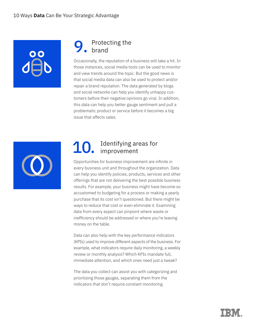#### Protecting the brand 9.

Occasionally, the reputation of a business will take a hit. In those instances, social media tools can be used to monitor and view trends around the topic. But the good news is that social media data can also be used to protect and/or repair a brand reputation. The data generated by blogs and social networks can help you identify unhappy customers before their negative opinions go viral. In addition, this data can help you better gauge sentiment and pull a problematic product or service before it becomes a big issue that affects sales.



#### Identifying areas for improvement 10.

Opportunities for business improvement are infinite in every business unit and throughout the organization. Data can help you identify policies, products, services and other offerings that are not delivering the best possible business results. For example, your business might have become so accustomed to budgeting for a process or making a yearly purchase that its cost isn't questioned. But there might be ways to reduce that cost or even eliminate it. Examining data from every aspect can pinpoint where waste or inefficiency should be addressed or where you're leaving money on the table.

Data can also help with the key performance indicators (KPIs) used to improve different aspects of the business. For example, what indicators require daily monitoring, a weekly review or monthly analysis? Which KPIs mandate full, immediate attention, and which ones need just a tweak?

The data you collect can assist you with categorizing and prioritizing those gauges, separating them from the indicators that don't require constant monitoring.